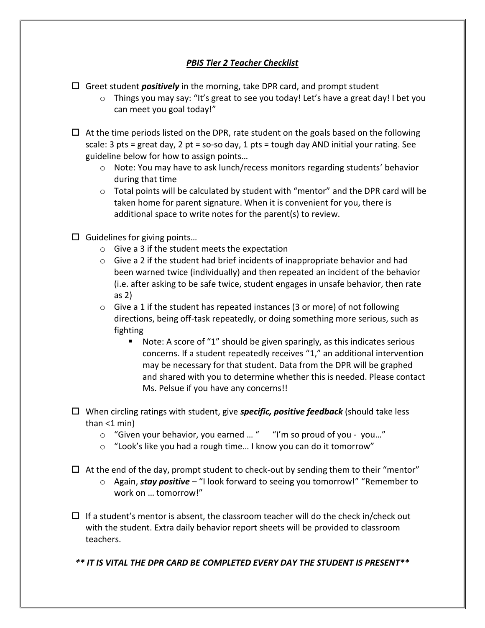## *PBIS Tier 2 Teacher Checklist*

- Greet student *positively* in the morning, take DPR card, and prompt student
	- $\circ$  Things you may say: "It's great to see you today! Let's have a great day! I bet you can meet you goal today!"
- $\Box$  At the time periods listed on the DPR, rate student on the goals based on the following scale: 3 pts = great day, 2 pt = so-so day, 1 pts = tough day AND initial your rating. See guideline below for how to assign points…
	- $\circ$  Note: You may have to ask lunch/recess monitors regarding students' behavior during that time
	- $\circ$  Total points will be calculated by student with "mentor" and the DPR card will be taken home for parent signature. When it is convenient for you, there is additional space to write notes for the parent(s) to review.
- $\square$  Guidelines for giving points...
	- o Give a 3 if the student meets the expectation
	- $\circ$  Give a 2 if the student had brief incidents of inappropriate behavior and had been warned twice (individually) and then repeated an incident of the behavior (i.e. after asking to be safe twice, student engages in unsafe behavior, then rate as 2)
	- $\circ$  Give a 1 if the student has repeated instances (3 or more) of not following directions, being off-task repeatedly, or doing something more serious, such as fighting
		- Note: A score of "1" should be given sparingly, as this indicates serious concerns. If a student repeatedly receives "1," an additional intervention may be necessary for that student. Data from the DPR will be graphed and shared with you to determine whether this is needed. Please contact Ms. Pelsue if you have any concerns!!
- When circling ratings with student, give *specific, positive feedback* (should take less than  $<$ 1 min)
	- o "Given your behavior, you earned … " "I'm so proud of you you…"
	- o "Look's like you had a rough time… I know you can do it tomorrow"
- $\Box$  At the end of the day, prompt student to check-out by sending them to their "mentor"
	- o Again, *stay positive* "I look forward to seeing you tomorrow!" "Remember to work on … tomorrow!"
- $\Box$  If a student's mentor is absent, the classroom teacher will do the check in/check out with the student. Extra daily behavior report sheets will be provided to classroom teachers.
- *\*\* IT IS VITAL THE DPR CARD BE COMPLETED EVERY DAY THE STUDENT IS PRESENT\*\**